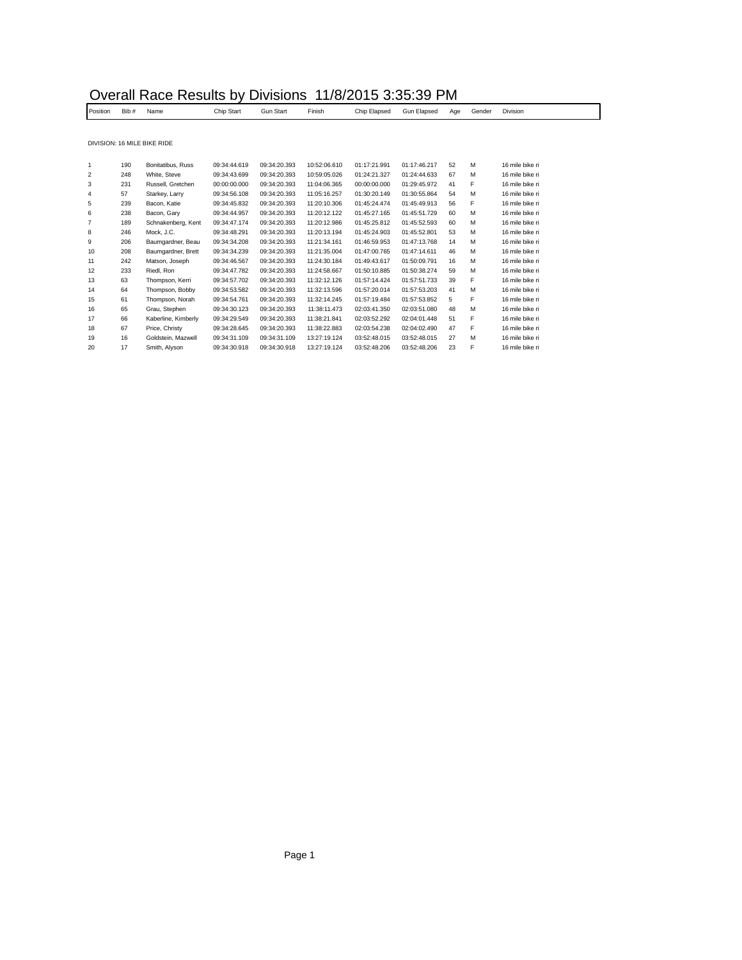| Position | Bib# | Name                        | Chip Start   | <b>Gun Start</b> | Finish       | Chip Elapsed | Gun Elapsed  | Age | Gender | Division        |
|----------|------|-----------------------------|--------------|------------------|--------------|--------------|--------------|-----|--------|-----------------|
|          |      |                             |              |                  |              |              |              |     |        |                 |
|          |      | DIVISION: 16 MILE BIKE RIDE |              |                  |              |              |              |     |        |                 |
|          |      |                             |              |                  |              | 01:17:21.991 | 01:17:46.217 |     |        | 16 mile bike ri |
| 1        | 190  | Bonitatibus, Russ           | 09:34:44.619 | 09:34:20.393     | 10:52:06.610 |              |              | 52  | M      |                 |
| 2        | 248  | White, Steve                | 09:34:43.699 | 09:34:20.393     | 10:59:05.026 | 01:24:21.327 | 01:24:44.633 | 67  | M      | 16 mile bike ri |
| 3        | 231  | Russell, Gretchen           | 00:00:00.000 | 09:34:20.393     | 11:04:06.365 | 00:00:00.000 | 01:29:45.972 | 41  | F      | 16 mile bike ri |
| 4        | 57   | Starkey, Larry              | 09:34:56.108 | 09:34:20.393     | 11:05:16.257 | 01:30:20.149 | 01:30:55.864 | 54  | M      | 16 mile bike ri |
| 5        | 239  | Bacon, Katie                | 09:34:45.832 | 09:34:20.393     | 11:20:10.306 | 01:45:24.474 | 01:45:49.913 | 56  | F      | 16 mile bike ri |
| 6        | 238  | Bacon, Gary                 | 09:34:44.957 | 09:34:20.393     | 11:20:12.122 | 01:45:27.165 | 01:45:51.729 | 60  | M      | 16 mile bike ri |
| 7        | 189  | Schnakenberg, Kent          | 09:34:47.174 | 09:34:20.393     | 11:20:12.986 | 01:45:25.812 | 01:45:52.593 | 60  | M      | 16 mile bike ri |
| 8        | 246  | Mock, J.C.                  | 09:34:48.291 | 09:34:20.393     | 11:20:13.194 | 01:45:24.903 | 01:45:52.801 | 53  | M      | 16 mile bike ri |
| 9        | 206  | Baumgardner, Beau           | 09:34:34.208 | 09:34:20.393     | 11:21:34.161 | 01:46:59.953 | 01:47:13.768 | 14  | M      | 16 mile bike ri |
| 10       | 208  | Baumgardner, Brett          | 09:34:34.239 | 09:34:20.393     | 11:21:35.004 | 01:47:00.765 | 01:47:14.611 | 46  | M      | 16 mile bike ri |
| 11       | 242  | Matson, Joseph              | 09:34:46.567 | 09:34:20.393     | 11:24:30.184 | 01:49:43.617 | 01:50:09.791 | 16  | M      | 16 mile bike ri |
| 12       | 233  | Riedl, Ron                  | 09:34:47.782 | 09:34:20.393     | 11:24:58.667 | 01:50:10.885 | 01:50:38.274 | 59  | M      | 16 mile bike ri |
| 13       | 63   | Thompson, Kerri             | 09:34:57.702 | 09:34:20.393     | 11:32:12.126 | 01:57:14.424 | 01:57:51.733 | 39  | F      | 16 mile bike ri |
| 14       | 64   | Thompson, Bobby             | 09:34:53.582 | 09:34:20.393     | 11:32:13.596 | 01:57:20.014 | 01:57:53.203 | 41  | M      | 16 mile bike ri |
| 15       | 61   | Thompson, Norah             | 09:34:54.761 | 09:34:20.393     | 11:32:14.245 | 01:57:19.484 | 01:57:53.852 | 5   | F      | 16 mile bike ri |
| 16       | 65   | Grau, Stephen               | 09:34:30.123 | 09:34:20.393     | 11:38:11.473 | 02:03:41.350 | 02:03:51.080 | 48  | M      | 16 mile bike ri |
| 17       | 66   | Kaberline, Kimberly         | 09:34:29.549 | 09:34:20.393     | 11:38:21.841 | 02:03:52.292 | 02:04:01.448 | 51  | F      | 16 mile bike ri |
| 18       | 67   | Price, Christy              | 09:34:28.645 | 09:34:20.393     | 11:38:22.883 | 02:03:54.238 | 02:04:02.490 | 47  | F      | 16 mile bike ri |
| 19       | 16   | Goldstein, Mazwell          | 09:34:31.109 | 09:34:31.109     | 13:27:19.124 | 03:52:48.015 | 03:52:48.015 | 27  | M      | 16 mile bike ri |
| 20       | 17   | Smith, Alyson               | 09:34:30.918 | 09:34:30.918     | 13:27:19.124 | 03:52:48.206 | 03:52:48.206 | 23  | F      | 16 mile bike ri |

 $\Box$